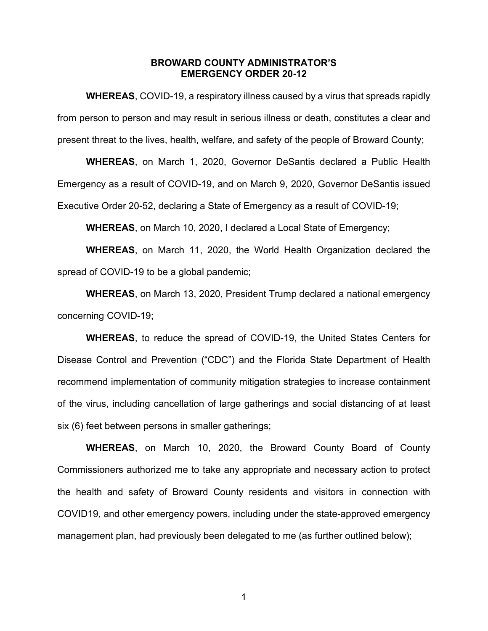#### **BROWARD COUNTY ADMINISTRATOR'S EMERGENCY ORDER 20-12**

**WHEREAS**, COVID-19, a respiratory illness caused by a virus that spreads rapidly from person to person and may result in serious illness or death, constitutes a clear and present threat to the lives, health, welfare, and safety of the people of Broward County;

**WHEREAS**, on March 1, 2020, Governor DeSantis declared a Public Health Emergency as a result of COVID-19, and on March 9, 2020, Governor DeSantis issued Executive Order 20-52, declaring a State of Emergency as a result of COVID-19;

**WHEREAS**, on March 10, 2020, I declared a Local State of Emergency;

**WHEREAS**, on March 11, 2020, the World Health Organization declared the spread of COVID-19 to be a global pandemic;

**WHEREAS**, on March 13, 2020, President Trump declared a national emergency concerning COVID-19;

**WHEREAS**, to reduce the spread of COVID-19, the United States Centers for Disease Control and Prevention ("CDC") and the Florida State Department of Health recommend implementation of community mitigation strategies to increase containment of the virus, including cancellation of large gatherings and social distancing of at least six (6) feet between persons in smaller gatherings;

**WHEREAS**, on March 10, 2020, the Broward County Board of County Commissioners authorized me to take any appropriate and necessary action to protect the health and safety of Broward County residents and visitors in connection with COVID19, and other emergency powers, including under the state-approved emergency management plan, had previously been delegated to me (as further outlined below);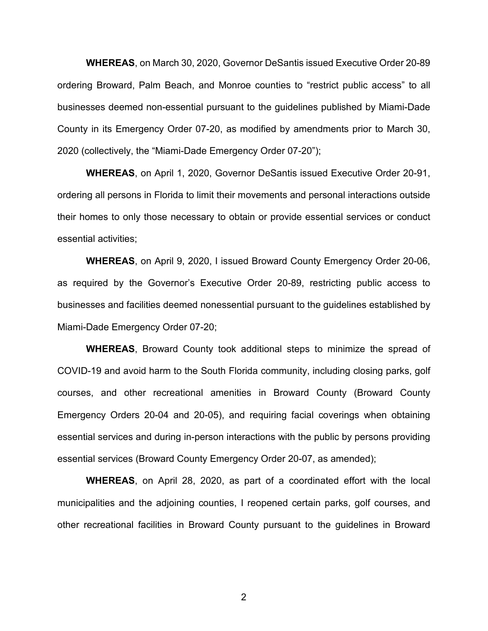**WHEREAS**, on March 30, 2020, Governor DeSantis issued Executive Order 20-89 ordering Broward, Palm Beach, and Monroe counties to "restrict public access" to all businesses deemed non-essential pursuant to the guidelines published by Miami-Dade County in its Emergency Order 07-20, as modified by amendments prior to March 30, 2020 (collectively, the "Miami-Dade Emergency Order 07-20");

**WHEREAS**, on April 1, 2020, Governor DeSantis issued Executive Order 20-91, ordering all persons in Florida to limit their movements and personal interactions outside their homes to only those necessary to obtain or provide essential services or conduct essential activities;

**WHEREAS**, on April 9, 2020, I issued Broward County Emergency Order 20-06, as required by the Governor's Executive Order 20-89, restricting public access to businesses and facilities deemed nonessential pursuant to the guidelines established by Miami-Dade Emergency Order 07-20;

**WHEREAS**, Broward County took additional steps to minimize the spread of COVID-19 and avoid harm to the South Florida community, including closing parks, golf courses, and other recreational amenities in Broward County (Broward County Emergency Orders 20-04 and 20-05), and requiring facial coverings when obtaining essential services and during in-person interactions with the public by persons providing essential services (Broward County Emergency Order 20-07, as amended);

**WHEREAS**, on April 28, 2020, as part of a coordinated effort with the local municipalities and the adjoining counties, I reopened certain parks, golf courses, and other recreational facilities in Broward County pursuant to the guidelines in Broward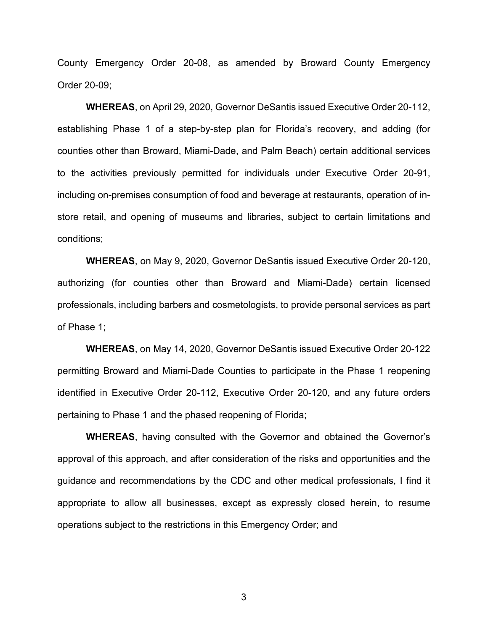County Emergency Order 20-08, as amended by Broward County Emergency Order 20-09;

**WHEREAS**, on April 29, 2020, Governor DeSantis issued Executive Order 20-112, establishing Phase 1 of a step-by-step plan for Florida's recovery, and adding (for counties other than Broward, Miami-Dade, and Palm Beach) certain additional services to the activities previously permitted for individuals under Executive Order 20-91, including on-premises consumption of food and beverage at restaurants, operation of instore retail, and opening of museums and libraries, subject to certain limitations and conditions;

**WHEREAS**, on May 9, 2020, Governor DeSantis issued Executive Order 20-120, authorizing (for counties other than Broward and Miami-Dade) certain licensed professionals, including barbers and cosmetologists, to provide personal services as part of Phase 1;

**WHEREAS**, on May 14, 2020, Governor DeSantis issued Executive Order 20-122 permitting Broward and Miami-Dade Counties to participate in the Phase 1 reopening identified in Executive Order 20-112, Executive Order 20-120, and any future orders pertaining to Phase 1 and the phased reopening of Florida;

**WHEREAS**, having consulted with the Governor and obtained the Governor's approval of this approach, and after consideration of the risks and opportunities and the guidance and recommendations by the CDC and other medical professionals, I find it appropriate to allow all businesses, except as expressly closed herein, to resume operations subject to the restrictions in this Emergency Order; and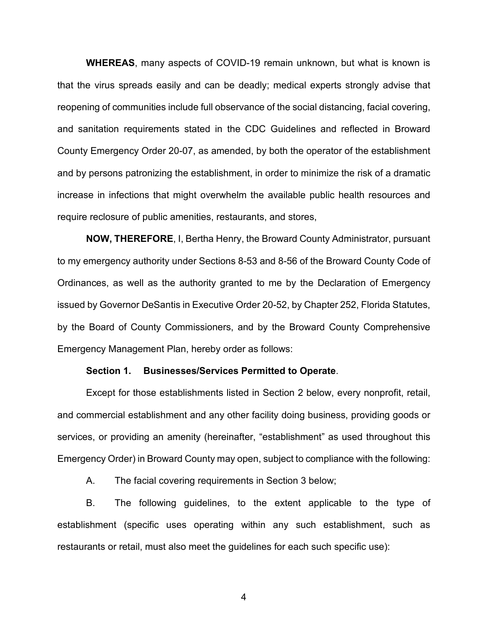**WHEREAS**, many aspects of COVID-19 remain unknown, but what is known is that the virus spreads easily and can be deadly; medical experts strongly advise that reopening of communities include full observance of the social distancing, facial covering, and sanitation requirements stated in the CDC Guidelines and reflected in Broward County Emergency Order 20-07, as amended, by both the operator of the establishment and by persons patronizing the establishment, in order to minimize the risk of a dramatic increase in infections that might overwhelm the available public health resources and require reclosure of public amenities, restaurants, and stores,

**NOW, THEREFORE**, I, Bertha Henry, the Broward County Administrator, pursuant to my emergency authority under Sections 8-53 and 8-56 of the Broward County Code of Ordinances, as well as the authority granted to me by the Declaration of Emergency issued by Governor DeSantis in Executive Order 20-52, by Chapter 252, Florida Statutes, by the Board of County Commissioners, and by the Broward County Comprehensive Emergency Management Plan, hereby order as follows:

#### **Section 1. Businesses/Services Permitted to Operate**.

Except for those establishments listed in Section 2 below, every nonprofit, retail, and commercial establishment and any other facility doing business, providing goods or services, or providing an amenity (hereinafter, "establishment" as used throughout this Emergency Order) in Broward County may open, subject to compliance with the following:

A. The facial covering requirements in Section 3 below;

B. The following guidelines, to the extent applicable to the type of establishment (specific uses operating within any such establishment, such as restaurants or retail, must also meet the guidelines for each such specific use):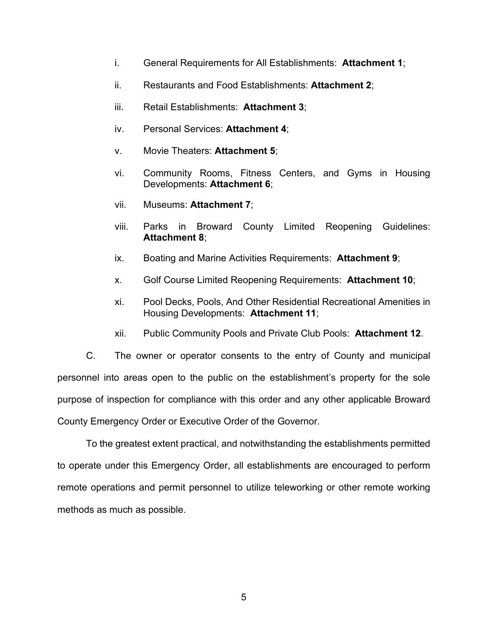- i. General Requirements for All Establishments: **Attachment 1**;
- ii. Restaurants and Food Establishments: **Attachment 2**;
- iii. Retail Establishments: **Attachment 3**;
- iv. Personal Services: **Attachment 4**;
- v. Movie Theaters: **Attachment 5**;
- vi. Community Rooms, Fitness Centers, and Gyms in Housing Developments: **Attachment 6**;
- vii. Museums: **Attachment 7**;
- viii. Parks in Broward County Limited Reopening Guidelines: **Attachment 8**;
- ix. Boating and Marine Activities Requirements: **Attachment 9**;
- x. Golf Course Limited Reopening Requirements: **Attachment 10**;
- xi. Pool Decks, Pools, And Other Residential Recreational Amenities in Housing Developments: **Attachment 11**;
- xii. Public Community Pools and Private Club Pools: **Attachment 12**.

C. The owner or operator consents to the entry of County and municipal personnel into areas open to the public on the establishment's property for the sole purpose of inspection for compliance with this order and any other applicable Broward County Emergency Order or Executive Order of the Governor.

To the greatest extent practical, and notwithstanding the establishments permitted to operate under this Emergency Order, all establishments are encouraged to perform remote operations and permit personnel to utilize teleworking or other remote working methods as much as possible.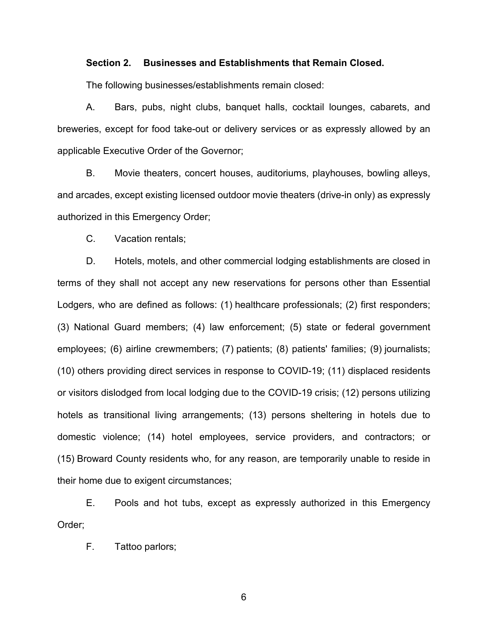#### **Section 2. Businesses and Establishments that Remain Closed.**

The following businesses/establishments remain closed:

A. Bars, pubs, night clubs, banquet halls, cocktail lounges, cabarets, and breweries, except for food take-out or delivery services or as expressly allowed by an applicable Executive Order of the Governor;

B. Movie theaters, concert houses, auditoriums, playhouses, bowling alleys, and arcades, except existing licensed outdoor movie theaters (drive-in only) as expressly authorized in this Emergency Order;

C. Vacation rentals;

D. Hotels, motels, and other commercial lodging establishments are closed in terms of they shall not accept any new reservations for persons other than Essential Lodgers, who are defined as follows: (1) healthcare professionals; (2) first responders; (3) National Guard members; (4) law enforcement; (5) state or federal government employees; (6) airline crewmembers; (7) patients; (8) patients' families; (9) journalists; (10) others providing direct services in response to COVID-19; (11) displaced residents or visitors dislodged from local lodging due to the COVID-19 crisis; (12) persons utilizing hotels as transitional living arrangements; (13) persons sheltering in hotels due to domestic violence; (14) hotel employees, service providers, and contractors; or (15) Broward County residents who, for any reason, are temporarily unable to reside in their home due to exigent circumstances;

E. Pools and hot tubs, except as expressly authorized in this Emergency Order;

F. Tattoo parlors;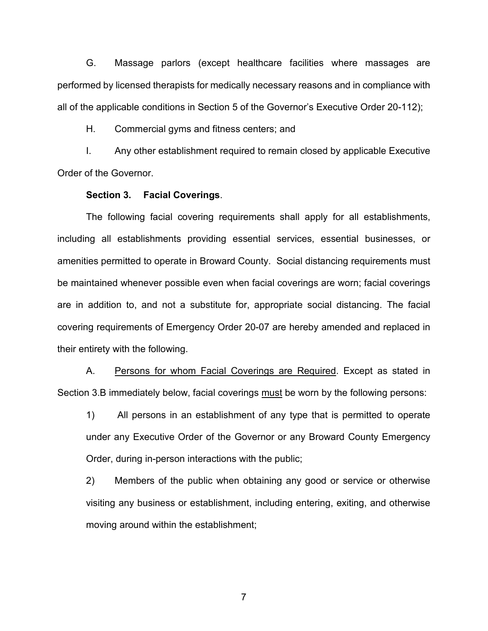G. Massage parlors (except healthcare facilities where massages are performed by licensed therapists for medically necessary reasons and in compliance with all of the applicable conditions in Section 5 of the Governor's Executive Order 20-112);

H. Commercial gyms and fitness centers; and

I. Any other establishment required to remain closed by applicable Executive Order of the Governor.

#### **Section 3. Facial Coverings**.

The following facial covering requirements shall apply for all establishments, including all establishments providing essential services, essential businesses, or amenities permitted to operate in Broward County. Social distancing requirements must be maintained whenever possible even when facial coverings are worn; facial coverings are in addition to, and not a substitute for, appropriate social distancing. The facial covering requirements of Emergency Order 20-07 are hereby amended and replaced in their entirety with the following.

A. Persons for whom Facial Coverings are Required. Except as stated in Section 3.B immediately below, facial coverings must be worn by the following persons:

1) All persons in an establishment of any type that is permitted to operate under any Executive Order of the Governor or any Broward County Emergency Order, during in-person interactions with the public;

2) Members of the public when obtaining any good or service or otherwise visiting any business or establishment, including entering, exiting, and otherwise moving around within the establishment;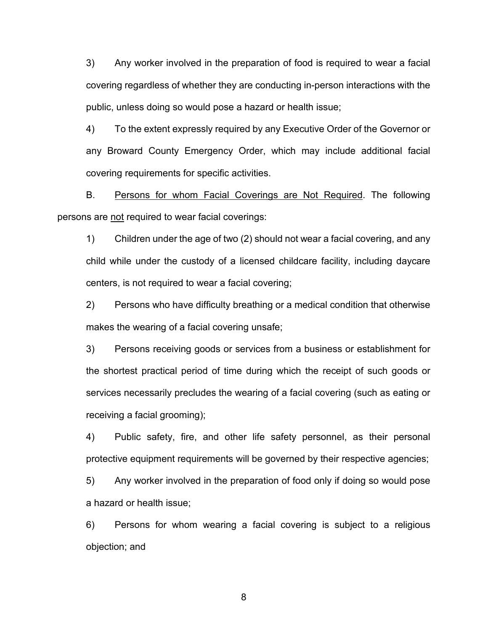3) Any worker involved in the preparation of food is required to wear a facial covering regardless of whether they are conducting in-person interactions with the public, unless doing so would pose a hazard or health issue;

4) To the extent expressly required by any Executive Order of the Governor or any Broward County Emergency Order, which may include additional facial covering requirements for specific activities.

B. Persons for whom Facial Coverings are Not Required. The following persons are not required to wear facial coverings:

1) Children under the age of two (2) should not wear a facial covering, and any child while under the custody of a licensed childcare facility, including daycare centers, is not required to wear a facial covering;

2) Persons who have difficulty breathing or a medical condition that otherwise makes the wearing of a facial covering unsafe;

3) Persons receiving goods or services from a business or establishment for the shortest practical period of time during which the receipt of such goods or services necessarily precludes the wearing of a facial covering (such as eating or receiving a facial grooming);

4) Public safety, fire, and other life safety personnel, as their personal protective equipment requirements will be governed by their respective agencies;

5) Any worker involved in the preparation of food only if doing so would pose a hazard or health issue;

6) Persons for whom wearing a facial covering is subject to a religious objection; and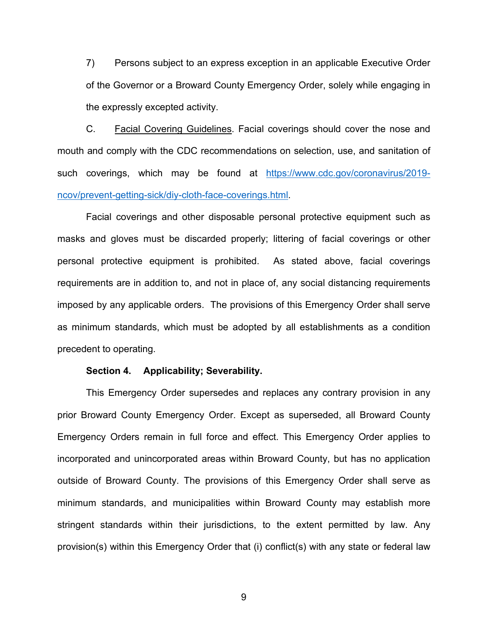7) Persons subject to an express exception in an applicable Executive Order of the Governor or a Broward County Emergency Order, solely while engaging in the expressly excepted activity.

C. Facial Covering Guidelines. Facial coverings should cover the nose and mouth and comply with the CDC recommendations on selection, use, and sanitation of such coverings, which may be found at https://www.cdc.gov/coronavirus/2019ncov/prevent-getting-sick/diy-cloth-face-coverings.html.

Facial coverings and other disposable personal protective equipment such as masks and gloves must be discarded properly; littering of facial coverings or other personal protective equipment is prohibited. As stated above, facial coverings requirements are in addition to, and not in place of, any social distancing requirements imposed by any applicable orders. The provisions of this Emergency Order shall serve as minimum standards, which must be adopted by all establishments as a condition precedent to operating.

#### **Section 4. Applicability; Severability.**

This Emergency Order supersedes and replaces any contrary provision in any prior Broward County Emergency Order. Except as superseded, all Broward County Emergency Orders remain in full force and effect. This Emergency Order applies to incorporated and unincorporated areas within Broward County, but has no application outside of Broward County. The provisions of this Emergency Order shall serve as minimum standards, and municipalities within Broward County may establish more stringent standards within their jurisdictions, to the extent permitted by law. Any provision(s) within this Emergency Order that (i) conflict(s) with any state or federal law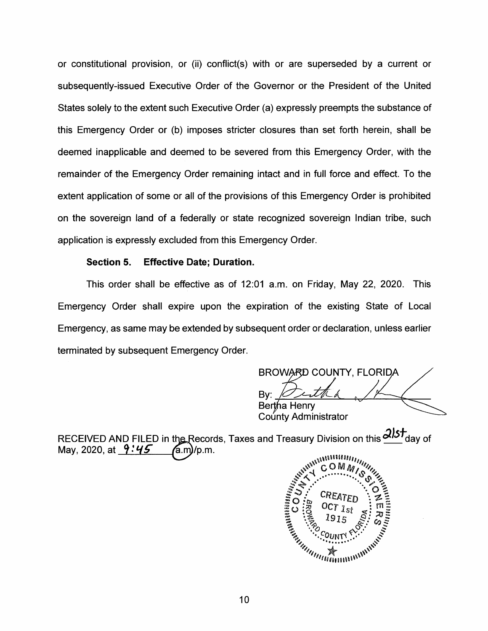or constitutional provision, or (ii) conflict(s) with or are superseded by a current or subsequently-issued Executive Order of the Governor or the President of the United States solely to the extent such Executive Order (a) expressly preempts the substance of this Emergency Order or (b) imposes stricter closures than set forth herein, shall be deemed inapplicable and deemed to be severed from this Emergency Order, with the remainder of the Emergency Order remaining intact and in full force and effect. To the extent application of some or all of the provisions of this Emergency Order is prohibited on the sovereign land of a federally or state recognized sovereign Indian tribe, such application is expressly excluded from this Emergency Order.

#### **Section 5. Effective Date; Duration.**

This order shall be effective as of 12:01 a.m. on Friday, May 22, 2020. This Emergency Order shall expire upon the expiration of the existing State of Local Emergency, as same may be extended by subsequent order or declaration, unless earlier terminated by subsequent Emergency Order.

BROWARD COUNTY, FLORIDA By: *V--d1.*  Bertha Henry County Administrator

RECEIVED AND FILED in the Records, Taxes and Treasury Division on this  $\frac{215t}{100}$  day of May, 2020, at  $\frac{9.495}{6.00}$  /p.m. May, 2020, at  $9:45$  (a.m)/p.m.

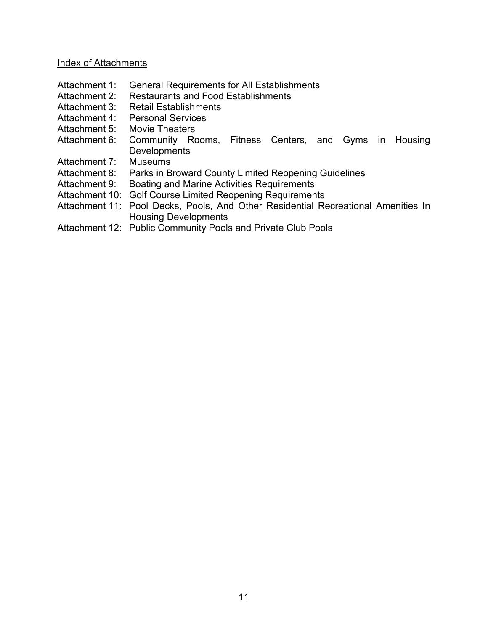#### Index of Attachments

- Attachment 1: General Requirements for All Establishments
- Attachment 2: Restaurants and Food Establishments
- Attachment 3: Retail Establishments
- Attachment 4: Personal Services
- Attachment 5: Movie Theaters
- Attachment 6: Community Rooms, Fitness Centers, and Gyms in Housing Developments<br>Museums
- Attachment 7:
- Attachment 8: Parks in Broward County Limited Reopening Guidelines
- Attachment 9: Boating and Marine Activities Requirements
- Attachment 10: Golf Course Limited Reopening Requirements
- Attachment 11: Pool Decks, Pools, And Other Residential Recreational Amenities In Housing Developments
- Attachment 12: Public Community Pools and Private Club Pools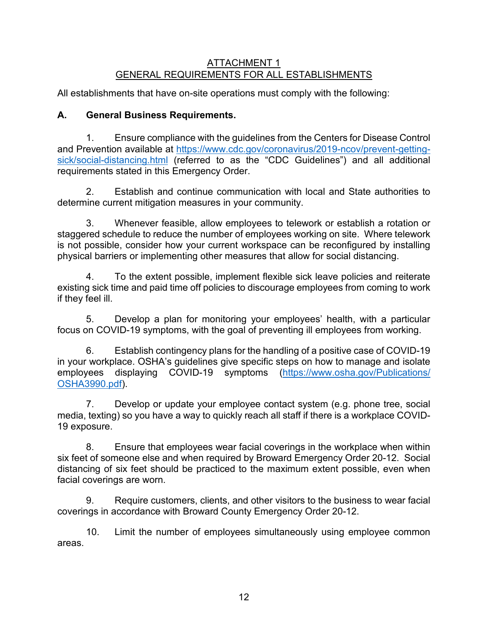### ATTACHMENT 1 GENERAL REQUIREMENTS FOR ALL ESTABLISHMENTS

All establishments that have on-site operations must comply with the following:

# **A. General Business Requirements.**

1. Ensure compliance with the guidelines from the Centers for Disease Control and Prevention available at [https://www.cdc.gov/coronavirus/2019-ncov/prevent-getting](https://www.cdc.gov/coronavirus/2019-ncov/prevent-getting-sick/social-distancing.html)[sick/social-distancing.html](https://www.cdc.gov/coronavirus/2019-ncov/prevent-getting-sick/social-distancing.html) (referred to as the "CDC Guidelines") and all additional requirements stated in this Emergency Order.

2. Establish and continue communication with local and State authorities to determine current mitigation measures in your community.

3. Whenever feasible, allow employees to telework or establish a rotation or staggered schedule to reduce the number of employees working on site. Where telework is not possible, consider how your current workspace can be reconfigured by installing physical barriers or implementing other measures that allow for social distancing.

4. To the extent possible, implement flexible sick leave policies and reiterate existing sick time and paid time off policies to discourage employees from coming to work if they feel ill.

5. Develop a plan for monitoring your employees' health, with a particular focus on COVID-19 symptoms, with the goal of preventing ill employees from working.

6. Establish contingency plans for the handling of a positive case of COVID-19 in your workplace. [OSHA's guidelines](https://www.osha.gov/Publications/OSHA3990.pdf) give specific steps on how to manage and isolate employees displaying COVID-19 symptoms [\(https://www.osha.gov/Publications/](https://www.osha.gov/Publications/OSHA3990.pdf) [OSHA3990.pdf\)](https://www.osha.gov/Publications/OSHA3990.pdf).

7. Develop or update your employee contact system (e.g. phone tree, social media, texting) so you have a way to quickly reach all staff if there is a workplace COVID-19 exposure.

8. Ensure that employees wear facial coverings in the workplace when within six feet of someone else and when required by Broward Emergency Order 20-12. Social distancing of six feet should be practiced to the maximum extent possible, even when facial coverings are worn.

9. Require customers, clients, and other visitors to the business to wear facial coverings in accordance with Broward County Emergency Order 20-12.

10. Limit the number of employees simultaneously using employee common areas.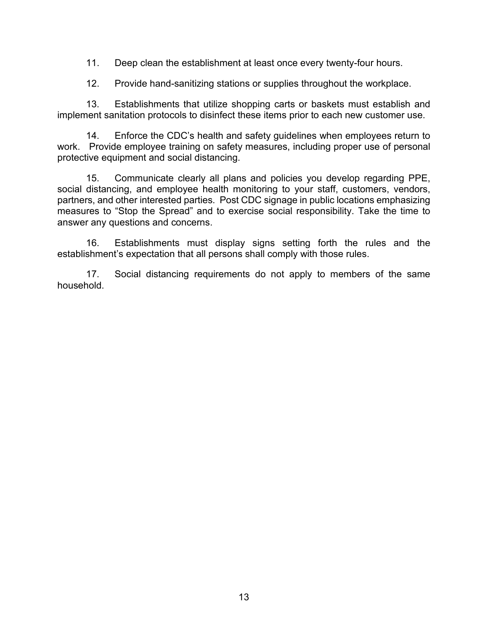11. Deep clean the establishment at least once every twenty-four hours.

12. Provide hand-sanitizing stations or supplies throughout the workplace.

13. Establishments that utilize shopping carts or baskets must establish and implement sanitation protocols to disinfect these items prior to each new customer use.

14. Enforce the [CDC's health and safety guidelines](https://www.cdc.gov/coronavirus/2019-ncov/index.html) when employees return to work. Provide employee training on safety measures, including proper use of personal protective equipment and social distancing.

15. Communicate clearly all plans and policies you develop regarding PPE, social distancing, and employee health monitoring to your staff, customers, vendors, partners, and other interested parties. Post CDC signage in public locations emphasizing measures to "Stop the Spread" and to exercise social responsibility. Take the time to answer any questions and concerns.

16. Establishments must display signs setting forth the rules and the establishment's expectation that all persons shall comply with those rules.

17. Social distancing requirements do not apply to members of the same household.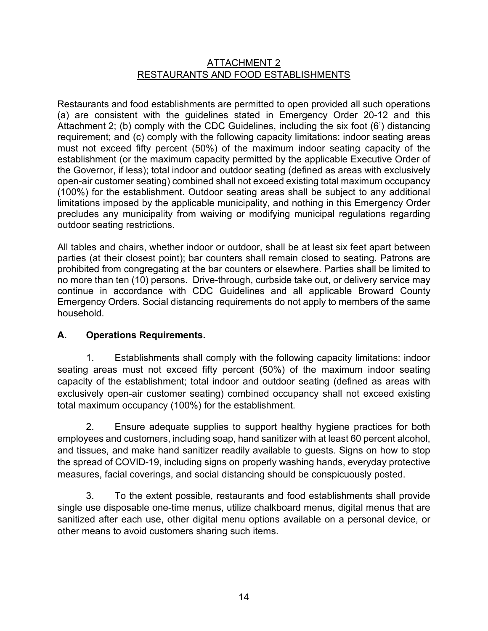## ATTACHMENT 2 RESTAURANTS AND FOOD ESTABLISHMENTS

Restaurants and food establishments are permitted to open provided all such operations (a) are consistent with the guidelines stated in Emergency Order 20-12 and this Attachment 2; (b) comply with the CDC Guidelines, including the six foot (6') distancing requirement; and (c) comply with the following capacity limitations: indoor seating areas must not exceed fifty percent (50%) of the maximum indoor seating capacity of the establishment (or the maximum capacity permitted by the applicable Executive Order of the Governor, if less); total indoor and outdoor seating (defined as areas with exclusively open-air customer seating) combined shall not exceed existing total maximum occupancy (100%) for the establishment. Outdoor seating areas shall be subject to any additional limitations imposed by the applicable municipality, and nothing in this Emergency Order precludes any municipality from waiving or modifying municipal regulations regarding outdoor seating restrictions.

All tables and chairs, whether indoor or outdoor, shall be at least six feet apart between parties (at their closest point); bar counters shall remain closed to seating. Patrons are prohibited from congregating at the bar counters or elsewhere. Parties shall be limited to no more than ten (10) persons. Drive-through, curbside take out, or delivery service may continue in accordance with CDC Guidelines and all applicable Broward County Emergency Orders. Social distancing requirements do not apply to members of the same household.

## **A. Operations Requirements.**

1. Establishments shall comply with the following capacity limitations: indoor seating areas must not exceed fifty percent (50%) of the maximum indoor seating capacity of the establishment; total indoor and outdoor seating (defined as areas with exclusively open-air customer seating) combined occupancy shall not exceed existing total maximum occupancy (100%) for the establishment.

2. Ensure adequate supplies to support healthy hygiene practices for both employees and customers, including soap, hand sanitizer with at least 60 percent alcohol, and tissues, and make hand sanitizer readily available to guests. Signs on how to stop the spread of COVID-19, including signs on properly washing hands, everyday protective measures, facial coverings, and social distancing should be conspicuously posted.

3. To the extent possible, restaurants and food establishments shall provide single use disposable one-time menus, utilize chalkboard menus, digital menus that are sanitized after each use, other digital menu options available on a personal device, or other means to avoid customers sharing such items.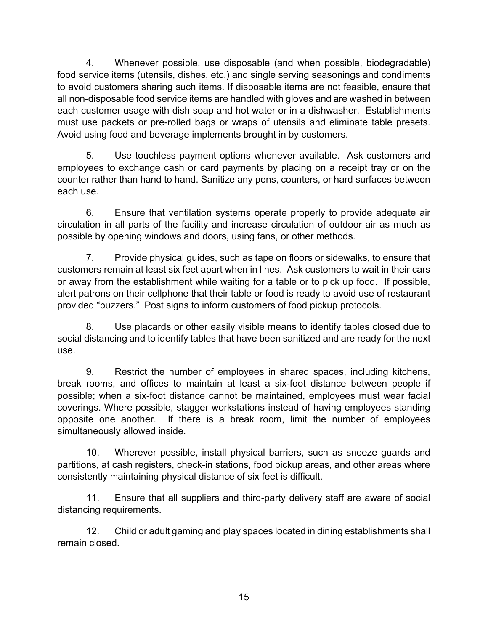4. Whenever possible, use disposable (and when possible, biodegradable) food service items (utensils, dishes, etc.) and single serving seasonings and condiments to avoid customers sharing such items. If disposable items are not feasible, ensure that all non-disposable food service items are handled with gloves and are washed in between each customer usage with dish soap and hot water or in a dishwasher. Establishments must use packets or pre-rolled bags or wraps of utensils and eliminate table presets. Avoid using food and beverage implements brought in by customers.

5. Use touchless payment options whenever available. Ask customers and employees to exchange cash or card payments by placing on a receipt tray or on the counter rather than hand to hand. Sanitize any pens, counters, or hard surfaces between each use.

6. Ensure that ventilation systems operate properly to provide adequate air circulation in all parts of the facility and increase circulation of outdoor air as much as possible by opening windows and doors, using fans, or other methods.

7. Provide physical guides, such as tape on floors or sidewalks, to ensure that customers remain at least six feet apart when in lines. Ask customers to wait in their cars or away from the establishment while waiting for a table or to pick up food. If possible, alert patrons on their cellphone that their table or food is ready to avoid use of restaurant provided "buzzers." Post signs to inform customers of food pickup protocols.

8. Use placards or other easily visible means to identify tables closed due to social distancing and to identify tables that have been sanitized and are ready for the next use.

9. Restrict the number of employees in shared spaces, including kitchens, break rooms, and offices to maintain at least a six-foot distance between people if possible; when a six-foot distance cannot be maintained, employees must wear facial coverings. Where possible, stagger workstations instead of having employees standing opposite one another. If there is a break room, limit the number of employees simultaneously allowed inside.

10. Wherever possible, install physical barriers, such as sneeze guards and partitions, at cash registers, check-in stations, food pickup areas, and other areas where consistently maintaining physical distance of six feet is difficult.

11. Ensure that all suppliers and third-party delivery staff are aware of social distancing requirements.

12. Child or adult gaming and play spaces located in dining establishments shall remain closed.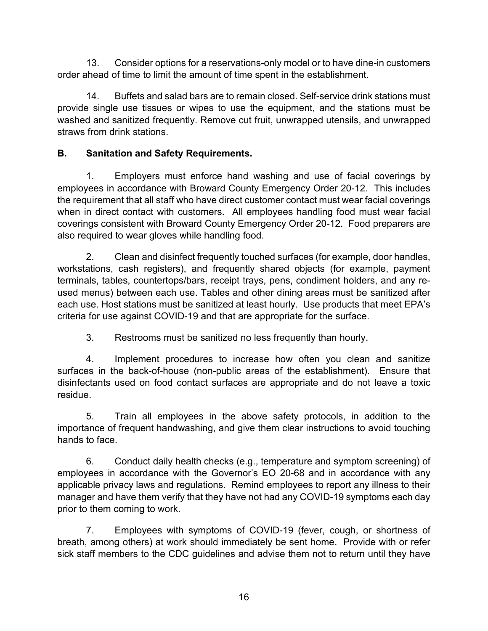13. Consider options for a reservations-only model or to have dine-in customers order ahead of time to limit the amount of time spent in the establishment.

14. Buffets and salad bars are to remain closed. Self-service drink stations must provide single use tissues or wipes to use the equipment, and the stations must be washed and sanitized frequently. Remove cut fruit, unwrapped utensils, and unwrapped straws from drink stations.

# **B. Sanitation and Safety Requirements.**

1. Employers must enforce hand washing and use of facial coverings by employees in accordance with Broward County Emergency Order 20-12. This includes the requirement that all staff who have direct customer contact must wear facial coverings when in direct contact with customers. All employees handling food must wear facial coverings consistent with Broward County Emergency Order 20-12. Food preparers are also required to wear gloves while handling food.

2. Clean and disinfect frequently touched surfaces (for example, door handles, workstations, cash registers), and frequently shared objects (for example, payment terminals, tables, countertops/bars, receipt trays, pens, condiment holders, and any reused menus) between each use. Tables and other dining areas must be sanitized after each use. Host stations must be sanitized at least hourly. Use products that meet EPA's criteria for use against COVID-19 and that are appropriate for the surface.

3. Restrooms must be sanitized no less frequently than hourly.

4. Implement procedures to increase how often you clean and sanitize surfaces in the back-of-house (non-public areas of the establishment). Ensure that disinfectants used on food contact surfaces are appropriate and do not leave a toxic residue.

5. Train all employees in the above safety protocols, in addition to the importance of frequent handwashing, and give them clear instructions to avoid touching hands to face.

6. Conduct daily health checks (e.g., temperature and symptom screening) of employees in accordance with the Governor's EO 20-68 and in accordance with any applicable privacy laws and regulations. Remind employees to report any illness to their manager and have them verify that they have not had any COVID-19 symptoms each day prior to them coming to work.

7. Employees with symptoms of COVID-19 (fever, cough, or shortness of breath, among others) at work should immediately be sent home. Provide with or refer sick staff members to the CDC guidelines and advise them not to return until they have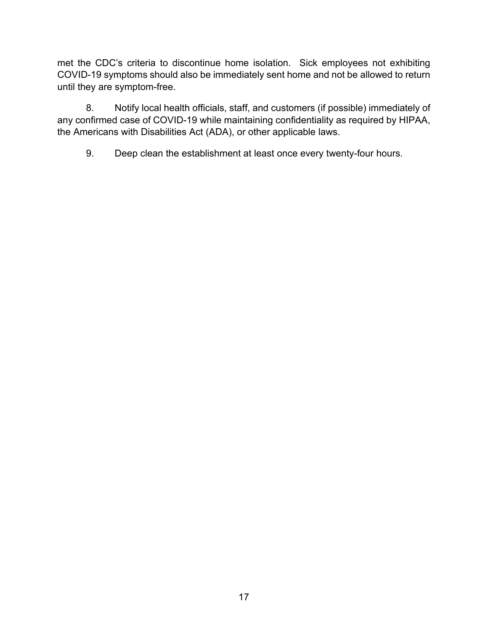met the CDC's criteria to discontinue home isolation. Sick employees not exhibiting COVID-19 symptoms should also be immediately sent home and not be allowed to return until they are symptom-free.

8. Notify local health officials, staff, and customers (if possible) immediately of any confirmed case of COVID-19 while maintaining confidentiality as required by HIPAA, the Americans with Disabilities Act (ADA), or other applicable laws.

9. Deep clean the establishment at least once every twenty-four hours.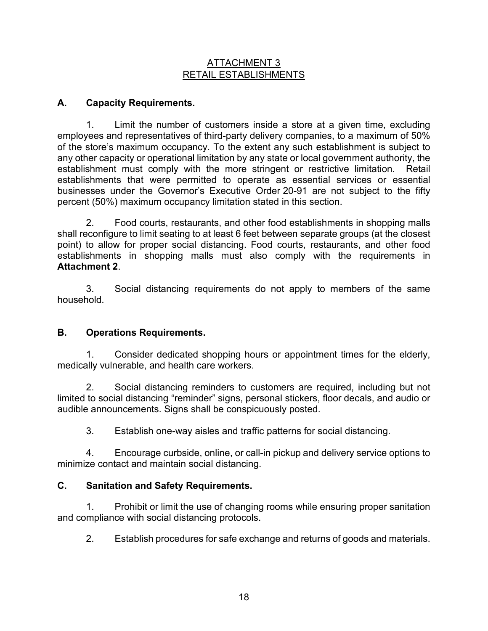#### ATTACHMENT 3 RETAIL ESTABLISHMENTS

## **A. Capacity Requirements.**

1. Limit the number of customers inside a store at a given time, excluding employees and representatives of third-party delivery companies, to a maximum of 50% of the store's maximum occupancy. To the extent any such establishment is subject to any other capacity or operational limitation by any state or local government authority, the establishment must comply with the more stringent or restrictive limitation. Retail establishments that were permitted to operate as essential services or essential businesses under the Governor's Executive Order 20-91 are not subject to the fifty percent (50%) maximum occupancy limitation stated in this section.

2. Food courts, restaurants, and other food establishments in shopping malls shall reconfigure to limit seating to at least 6 feet between separate groups (at the closest point) to allow for proper social distancing. Food courts, restaurants, and other food establishments in shopping malls must also comply with the requirements in **Attachment 2**.

3. Social distancing requirements do not apply to members of the same household.

### **B. Operations Requirements.**

1. Consider dedicated shopping hours or appointment times for the elderly, medically vulnerable, and health care workers.

2. Social distancing reminders to customers are required, including but not limited to social distancing "reminder" signs, personal stickers, floor decals, and audio or audible announcements. Signs shall be conspicuously posted.

3. Establish one-way aisles and traffic patterns for social distancing.

4. Encourage curbside, online, or call-in pickup and delivery service options to minimize contact and maintain social distancing.

### **C. Sanitation and Safety Requirements.**

1. Prohibit or limit the use of changing rooms while ensuring proper sanitation and compliance with social distancing protocols.

2. Establish procedures for safe exchange and returns of goods and materials.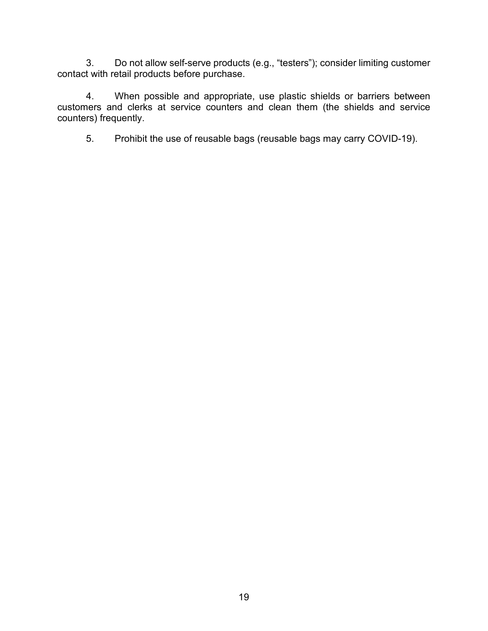3. Do not allow self-serve products (e.g., "testers"); consider limiting customer contact with retail products before purchase.

4. When possible and appropriate, use plastic shields or barriers between customers and clerks at service counters and clean them (the shields and service counters) frequently.

5. Prohibit the use of reusable bags (reusable bags may carry COVID-19).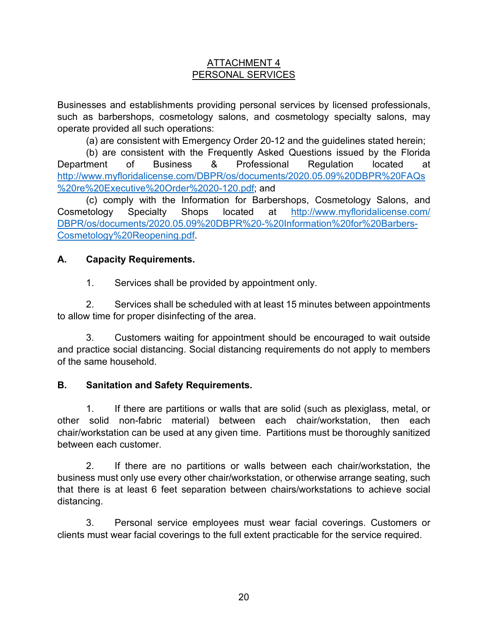### ATTACHMENT 4 PERSONAL SERVICES

Businesses and establishments providing personal services by licensed professionals, such as barbershops, cosmetology salons, and cosmetology specialty salons, may operate provided all such operations:

(a) are consistent with Emergency Order 20-12 and the guidelines stated herein;

(b) are consistent with the Frequently Asked Questions issued by the Florida Department of Business & Professional Regulation located at [http://www.myfloridalicense.com/DBPR/os/documents/2020.05.09%20DBPR%20FAQs](http://www.myfloridalicense.com/DBPR/os/documents/2020.05.09%20DBPR%20FAQs%20re%20Executive%20Order%2020-120.pdf) [%20re%20Executive%20Order%2020-120.pdf;](http://www.myfloridalicense.com/DBPR/os/documents/2020.05.09%20DBPR%20FAQs%20re%20Executive%20Order%2020-120.pdf) and

(c) comply with the Information for Barbershops, Cosmetology Salons, and Cosmetology Specialty Shops located at [http://www.myfloridalicense.com/](http://www.myfloridalicense.com/DBPR/os/documents/2020.05.09%20DBPR%20-%20Information%20for%20Barbers-Cosmetology%20Reopening.pdf) [DBPR/os/documents/2020.05.09%20DBPR%20-%20Information%20for%20Barbers-](http://www.myfloridalicense.com/DBPR/os/documents/2020.05.09%20DBPR%20-%20Information%20for%20Barbers-Cosmetology%20Reopening.pdf)[Cosmetology%20Reopening.pdf.](http://www.myfloridalicense.com/DBPR/os/documents/2020.05.09%20DBPR%20-%20Information%20for%20Barbers-Cosmetology%20Reopening.pdf)

## **A. Capacity Requirements.**

1. Services shall be provided by appointment only.

2. Services shall be scheduled with at least 15 minutes between appointments to allow time for proper disinfecting of the area.

3. Customers waiting for appointment should be encouraged to wait outside and practice social distancing. Social distancing requirements do not apply to members of the same household.

## **B. Sanitation and Safety Requirements.**

1. If there are partitions or walls that are solid (such as plexiglass, metal, or other solid non-fabric material) between each chair/workstation, then each chair/workstation can be used at any given time. Partitions must be thoroughly sanitized between each customer.

2. If there are no partitions or walls between each chair/workstation, the business must only use every other chair/workstation, or otherwise arrange seating, such that there is at least 6 feet separation between chairs/workstations to achieve social distancing.

3. Personal service employees must wear facial coverings. Customers or clients must wear facial coverings to the full extent practicable for the service required.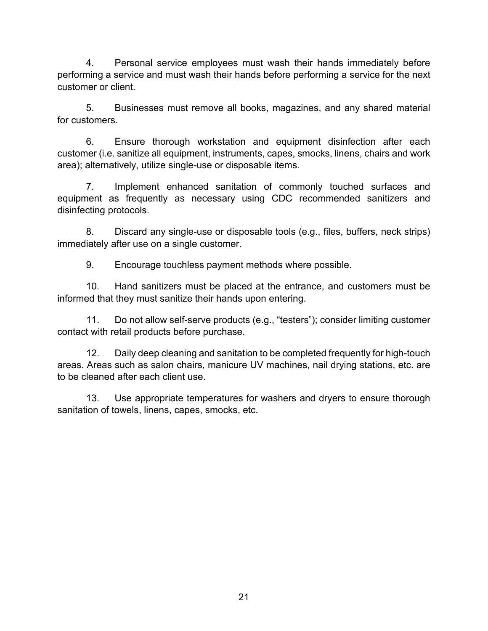4. Personal service employees must wash their hands immediately before performing a service and must wash their hands before performing a service for the next customer or client.

5. Businesses must remove all books, magazines, and any shared material for customers.

6. Ensure thorough workstation and equipment disinfection after each customer (i.e. sanitize all equipment, instruments, capes, smocks, linens, chairs and work area); alternatively, utilize single-use or disposable items.

7. Implement enhanced sanitation of commonly touched surfaces and equipment as frequently as necessary using CDC recommended sanitizers and disinfecting protocols.

8. Discard any single-use or disposable tools (e.g., files, buffers, neck strips) immediately after use on a single customer.

9. Encourage touchless payment methods where possible.

10. Hand sanitizers must be placed at the entrance, and customers must be informed that they must sanitize their hands upon entering.

11. Do not allow self-serve products (e.g., "testers"); consider limiting customer contact with retail products before purchase.

12. Daily deep cleaning and sanitation to be completed frequently for high-touch areas. Areas such as salon chairs, manicure UV machines, nail drying stations, etc. are to be cleaned after each client use.

13. Use appropriate temperatures for washers and dryers to ensure thorough sanitation of towels, linens, capes, smocks, etc.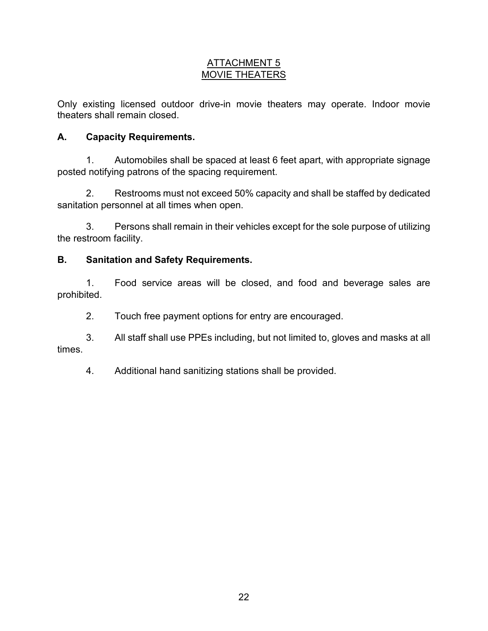## ATTACHMENT 5 MOVIE THEATERS

Only existing licensed outdoor drive-in movie theaters may operate. Indoor movie theaters shall remain closed.

## **A. Capacity Requirements.**

1. Automobiles shall be spaced at least 6 feet apart, with appropriate signage posted notifying patrons of the spacing requirement.

2. Restrooms must not exceed 50% capacity and shall be staffed by dedicated sanitation personnel at all times when open.

3. Persons shall remain in their vehicles except for the sole purpose of utilizing the restroom facility.

## **B. Sanitation and Safety Requirements.**

1. Food service areas will be closed, and food and beverage sales are prohibited.

2. Touch free payment options for entry are encouraged.

3. All staff shall use PPEs including, but not limited to, gloves and masks at all times.

4. Additional hand sanitizing stations shall be provided.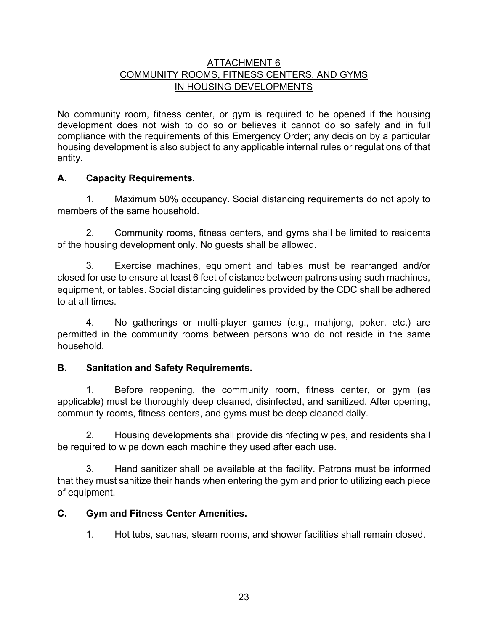### ATTACHMENT 6 COMMUNITY ROOMS, FITNESS CENTERS, AND GYMS IN HOUSING DEVELOPMENTS

No community room, fitness center, or gym is required to be opened if the housing development does not wish to do so or believes it cannot do so safely and in full compliance with the requirements of this Emergency Order; any decision by a particular housing development is also subject to any applicable internal rules or regulations of that entity.

## **A. Capacity Requirements.**

1. Maximum 50% occupancy. Social distancing requirements do not apply to members of the same household.

2. Community rooms, fitness centers, and gyms shall be limited to residents of the housing development only. No guests shall be allowed.

3. Exercise machines, equipment and tables must be rearranged and/or closed for use to ensure at least 6 feet of distance between patrons using such machines, equipment, or tables. Social distancing guidelines provided by the CDC shall be adhered to at all times.

4. No gatherings or multi-player games (e.g., mahjong, poker, etc.) are permitted in the community rooms between persons who do not reside in the same household.

### **B. Sanitation and Safety Requirements.**

1. Before reopening, the community room, fitness center, or gym (as applicable) must be thoroughly deep cleaned, disinfected, and sanitized. After opening, community rooms, fitness centers, and gyms must be deep cleaned daily.

2. Housing developments shall provide disinfecting wipes, and residents shall be required to wipe down each machine they used after each use.

3. Hand sanitizer shall be available at the facility. Patrons must be informed that they must sanitize their hands when entering the gym and prior to utilizing each piece of equipment.

### **C. Gym and Fitness Center Amenities.**

1. Hot tubs, saunas, steam rooms, and shower facilities shall remain closed.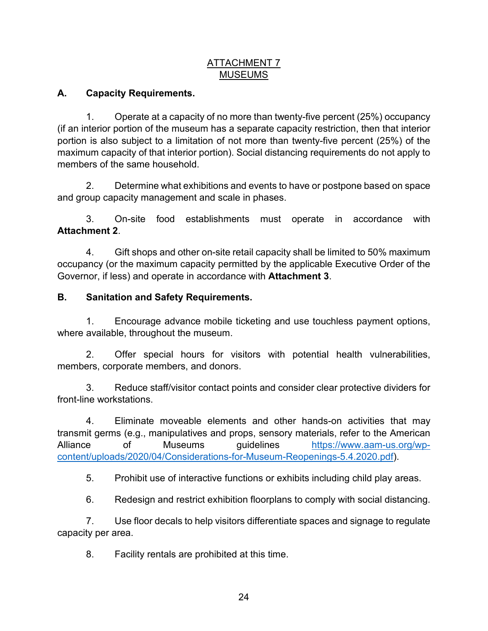### ATTACHMENT 7 **MUSEUMS**

## **A. Capacity Requirements.**

1. Operate at a capacity of no more than twenty-five percent (25%) occupancy (if an interior portion of the museum has a separate capacity restriction, then that interior portion is also subject to a limitation of not more than twenty-five percent (25%) of the maximum capacity of that interior portion). Social distancing requirements do not apply to members of the same household.

2. Determine what exhibitions and events to have or postpone based on space and group capacity management and scale in phases.

3. On-site food establishments must operate in accordance with **Attachment 2**.

4. Gift shops and other on-site retail capacity shall be limited to 50% maximum occupancy (or the maximum capacity permitted by the applicable Executive Order of the Governor, if less) and operate in accordance with **Attachment 3**.

### **B. Sanitation and Safety Requirements.**

1. Encourage advance mobile ticketing and use touchless payment options, where available, throughout the museum.

2. Offer special hours for visitors with potential health vulnerabilities, members, corporate members, and donors.

3. Reduce staff/visitor contact points and consider clear protective dividers for front-line workstations.

4. Eliminate moveable elements and other hands-on activities that may transmit germs (e.g., manipulatives and props, sensory materials, refer to the American Alliance of Museums guidelines [https://www.aam-us.org/wp](https://www.aam-us.org/wp-content/uploads/2020/04/Considerations-for-Museum-Reopenings-5.4.2020.pdf)[content/uploads/2020/04/Considerations-for-Museum-Reopenings-5.4.2020.pdf\)](https://www.aam-us.org/wp-content/uploads/2020/04/Considerations-for-Museum-Reopenings-5.4.2020.pdf).

5. Prohibit use of interactive functions or exhibits including child play areas.

6. Redesign and restrict exhibition floorplans to comply with social distancing.

7. Use floor decals to help visitors differentiate spaces and signage to regulate capacity per area.

8. Facility rentals are prohibited at this time.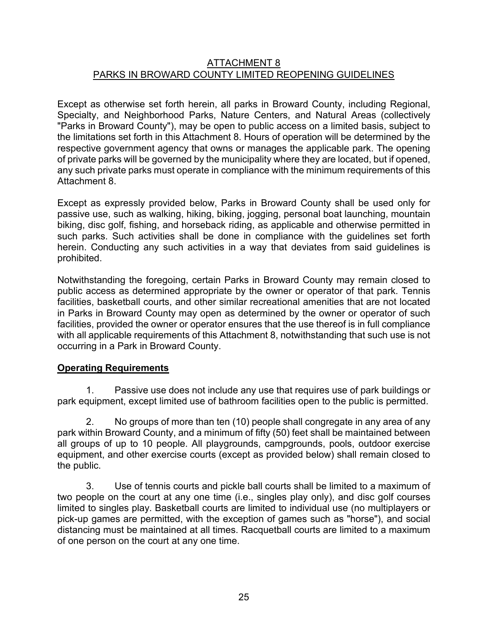#### ATTACHMENT 8 PARKS IN BROWARD COUNTY LIMITED REOPENING GUIDELINES

Except as otherwise set forth herein, all parks in Broward County, including Regional, Specialty, and Neighborhood Parks, Nature Centers, and Natural Areas (collectively "Parks in Broward County"), may be open to public access on a limited basis, subject to the limitations set forth in this Attachment 8. Hours of operation will be determined by the respective government agency that owns or manages the applicable park. The opening of private parks will be governed by the municipality where they are located, but if opened, any such private parks must operate in compliance with the minimum requirements of this Attachment 8.

Except as expressly provided below, Parks in Broward County shall be used only for passive use, such as walking, hiking, biking, jogging, personal boat launching, mountain biking, disc golf, fishing, and horseback riding, as applicable and otherwise permitted in such parks. Such activities shall be done in compliance with the guidelines set forth herein. Conducting any such activities in a way that deviates from said guidelines is prohibited.

Notwithstanding the foregoing, certain Parks in Broward County may remain closed to public access as determined appropriate by the owner or operator of that park. Tennis facilities, basketball courts, and other similar recreational amenities that are not located in Parks in Broward County may open as determined by the owner or operator of such facilities, provided the owner or operator ensures that the use thereof is in full compliance with all applicable requirements of this Attachment 8, notwithstanding that such use is not occurring in a Park in Broward County.

### **Operating Requirements**

1. Passive use does not include any use that requires use of park buildings or park equipment, except limited use of bathroom facilities open to the public is permitted.

2. No groups of more than ten (10) people shall congregate in any area of any park within Broward County, and a minimum of fifty (50) feet shall be maintained between all groups of up to 10 people. All playgrounds, campgrounds, pools, outdoor exercise equipment, and other exercise courts (except as provided below) shall remain closed to the public.

3. Use of tennis courts and pickle ball courts shall be limited to a maximum of two people on the court at any one time (i.e., singles play only), and disc golf courses limited to singles play. Basketball courts are limited to individual use (no multiplayers or pick-up games are permitted, with the exception of games such as "horse"), and social distancing must be maintained at all times. Racquetball courts are limited to a maximum of one person on the court at any one time.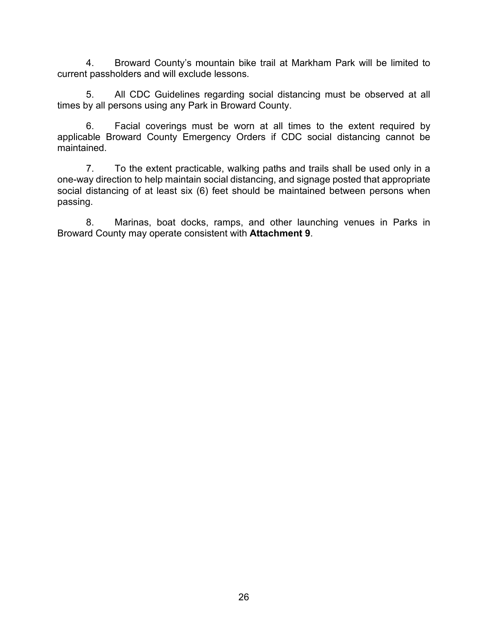4. Broward County's mountain bike trail at Markham Park will be limited to current passholders and will exclude lessons.

5. All CDC Guidelines regarding social distancing must be observed at all times by all persons using any Park in Broward County.

6. Facial coverings must be worn at all times to the extent required by applicable Broward County Emergency Orders if CDC social distancing cannot be maintained.

7. To the extent practicable, walking paths and trails shall be used only in a one-way direction to help maintain social distancing, and signage posted that appropriate social distancing of at least six (6) feet should be maintained between persons when passing.

8. Marinas, boat docks, ramps, and other launching venues in Parks in Broward County may operate consistent with **Attachment 9**.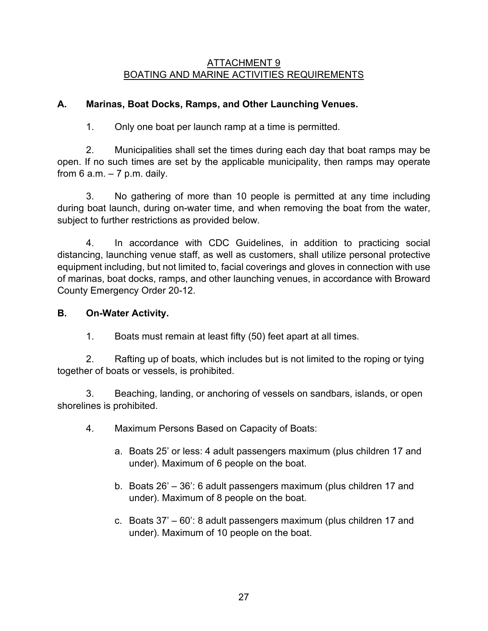#### ATTACHMENT 9 BOATING AND MARINE ACTIVITIES REQUIREMENTS

## **A. Marinas, Boat Docks, Ramps, and Other Launching Venues.**

1. Only one boat per launch ramp at a time is permitted.

2. Municipalities shall set the times during each day that boat ramps may be open. If no such times are set by the applicable municipality, then ramps may operate from  $6$  a.m.  $-7$  p.m. daily.

3. No gathering of more than 10 people is permitted at any time including during boat launch, during on-water time, and when removing the boat from the water, subject to further restrictions as provided below.

4. In accordance with CDC Guidelines, in addition to practicing social distancing, launching venue staff, as well as customers, shall utilize personal protective equipment including, but not limited to, facial coverings and gloves in connection with use of marinas, boat docks, ramps, and other launching venues, in accordance with Broward County Emergency Order 20-12.

### **B. On-Water Activity.**

1. Boats must remain at least fifty (50) feet apart at all times.

2. Rafting up of boats, which includes but is not limited to the roping or tying together of boats or vessels, is prohibited.

3. Beaching, landing, or anchoring of vessels on sandbars, islands, or open shorelines is prohibited.

- 4. Maximum Persons Based on Capacity of Boats:
	- a. Boats 25' or less: 4 adult passengers maximum (plus children 17 and under). Maximum of 6 people on the boat.
	- b. Boats 26' 36': 6 adult passengers maximum (plus children 17 and under). Maximum of 8 people on the boat.
	- c. Boats 37' 60': 8 adult passengers maximum (plus children 17 and under). Maximum of 10 people on the boat.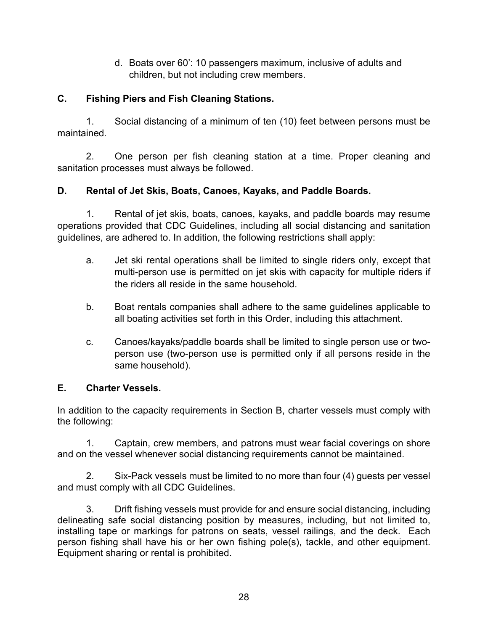d. Boats over 60': 10 passengers maximum, inclusive of adults and children, but not including crew members.

## **C. Fishing Piers and Fish Cleaning Stations.**

1. Social distancing of a minimum of ten (10) feet between persons must be maintained.

2. One person per fish cleaning station at a time. Proper cleaning and sanitation processes must always be followed.

## **D. Rental of Jet Skis, Boats, Canoes, Kayaks, and Paddle Boards.**

1. Rental of jet skis, boats, canoes, kayaks, and paddle boards may resume operations provided that CDC Guidelines, including all social distancing and sanitation guidelines, are adhered to. In addition, the following restrictions shall apply:

- a. Jet ski rental operations shall be limited to single riders only, except that multi-person use is permitted on jet skis with capacity for multiple riders if the riders all reside in the same household.
- b. Boat rentals companies shall adhere to the same guidelines applicable to all boating activities set forth in this Order, including this attachment.
- c. Canoes/kayaks/paddle boards shall be limited to single person use or twoperson use (two-person use is permitted only if all persons reside in the same household).

## **E. Charter Vessels.**

In addition to the capacity requirements in Section B, charter vessels must comply with the following:

1. Captain, crew members, and patrons must wear facial coverings on shore and on the vessel whenever social distancing requirements cannot be maintained.

2. Six-Pack vessels must be limited to no more than four (4) guests per vessel and must comply with all CDC Guidelines.

3. Drift fishing vessels must provide for and ensure social distancing, including delineating safe social distancing position by measures, including, but not limited to, installing tape or markings for patrons on seats, vessel railings, and the deck. Each person fishing shall have his or her own fishing pole(s), tackle, and other equipment. Equipment sharing or rental is prohibited.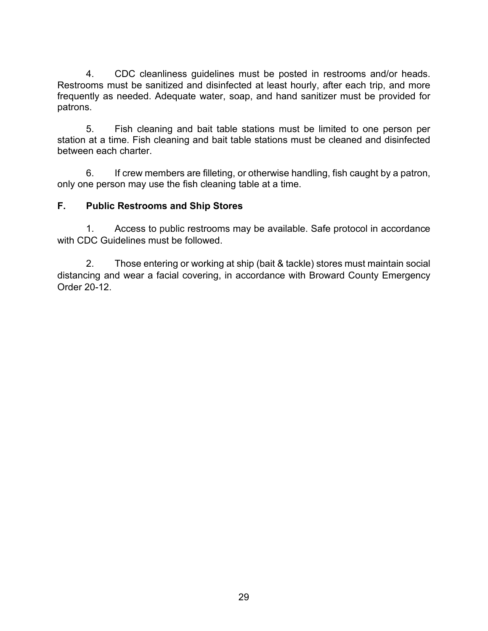4. CDC cleanliness guidelines must be posted in restrooms and/or heads. Restrooms must be sanitized and disinfected at least hourly, after each trip, and more frequently as needed. Adequate water, soap, and hand sanitizer must be provided for patrons.

5. Fish cleaning and bait table stations must be limited to one person per station at a time. Fish cleaning and bait table stations must be cleaned and disinfected between each charter.

6. If crew members are filleting, or otherwise handling, fish caught by a patron, only one person may use the fish cleaning table at a time.

## **F. Public Restrooms and Ship Stores**

1. Access to public restrooms may be available. Safe protocol in accordance with CDC Guidelines must be followed.

2. Those entering or working at ship (bait & tackle) stores must maintain social distancing and wear a facial covering, in accordance with Broward County Emergency Order 20-12.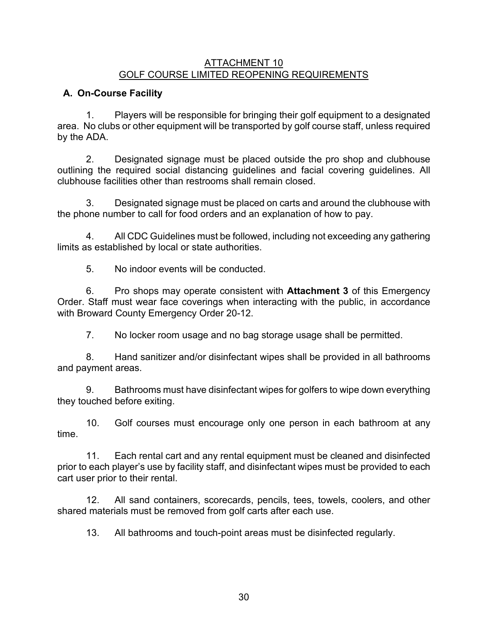#### ATTACHMENT 10 GOLF COURSE LIMITED REOPENING REQUIREMENTS

## **A. On-Course Facility**

1. Players will be responsible for bringing their golf equipment to a designated area. No clubs or other equipment will be transported by golf course staff, unless required by the ADA.

2. Designated signage must be placed outside the pro shop and clubhouse outlining the required social distancing guidelines and facial covering guidelines. All clubhouse facilities other than restrooms shall remain closed.

3. Designated signage must be placed on carts and around the clubhouse with the phone number to call for food orders and an explanation of how to pay.

4. All CDC Guidelines must be followed, including not exceeding any gathering limits as established by local or state authorities.

5. No indoor events will be conducted.

6. Pro shops may operate consistent with **Attachment 3** of this Emergency Order. Staff must wear face coverings when interacting with the public, in accordance with Broward County Emergency Order 20-12.

7. No locker room usage and no bag storage usage shall be permitted.

8. Hand sanitizer and/or disinfectant wipes shall be provided in all bathrooms and payment areas.

9. Bathrooms must have disinfectant wipes for golfers to wipe down everything they touched before exiting.

10. Golf courses must encourage only one person in each bathroom at any time.

11. Each rental cart and any rental equipment must be cleaned and disinfected prior to each player's use by facility staff, and disinfectant wipes must be provided to each cart user prior to their rental.

12. All sand containers, scorecards, pencils, tees, towels, coolers, and other shared materials must be removed from golf carts after each use.

13. All bathrooms and touch-point areas must be disinfected regularly.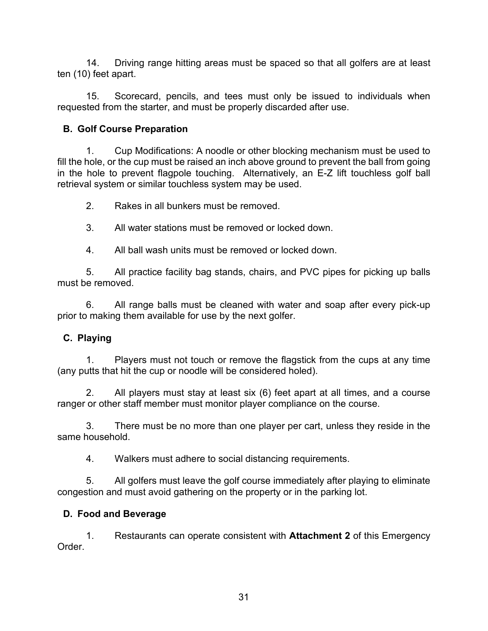14. Driving range hitting areas must be spaced so that all golfers are at least ten (10) feet apart.

15. Scorecard, pencils, and tees must only be issued to individuals when requested from the starter, and must be properly discarded after use.

## **B. Golf Course Preparation**

1. Cup Modifications: A noodle or other blocking mechanism must be used to fill the hole, or the cup must be raised an inch above ground to prevent the ball from going in the hole to prevent flagpole touching. Alternatively, an E-Z lift touchless golf ball retrieval system or similar touchless system may be used.

2. Rakes in all bunkers must be removed.

3. All water stations must be removed or locked down.

4. All ball wash units must be removed or locked down.

5. All practice facility bag stands, chairs, and PVC pipes for picking up balls must be removed.

6. All range balls must be cleaned with water and soap after every pick-up prior to making them available for use by the next golfer.

## **C. Playing**

1. Players must not touch or remove the flagstick from the cups at any time (any putts that hit the cup or noodle will be considered holed).

2. All players must stay at least six (6) feet apart at all times, and a course ranger or other staff member must monitor player compliance on the course.

3. There must be no more than one player per cart, unless they reside in the same household.

4. Walkers must adhere to social distancing requirements.

5. All golfers must leave the golf course immediately after playing to eliminate congestion and must avoid gathering on the property or in the parking lot.

## **D. Food and Beverage**

1. Restaurants can operate consistent with **Attachment 2** of this Emergency Order.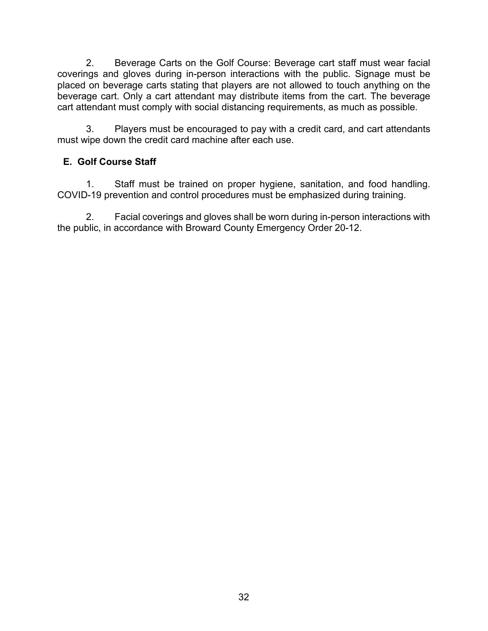2. Beverage Carts on the Golf Course: Beverage cart staff must wear facial coverings and gloves during in-person interactions with the public. Signage must be placed on beverage carts stating that players are not allowed to touch anything on the beverage cart. Only a cart attendant may distribute items from the cart. The beverage cart attendant must comply with social distancing requirements, as much as possible.

3. Players must be encouraged to pay with a credit card, and cart attendants must wipe down the credit card machine after each use.

## **E. Golf Course Staff**

1. Staff must be trained on proper hygiene, sanitation, and food handling. COVID-19 prevention and control procedures must be emphasized during training.

2. Facial coverings and gloves shall be worn during in-person interactions with the public, in accordance with Broward County Emergency Order 20-12.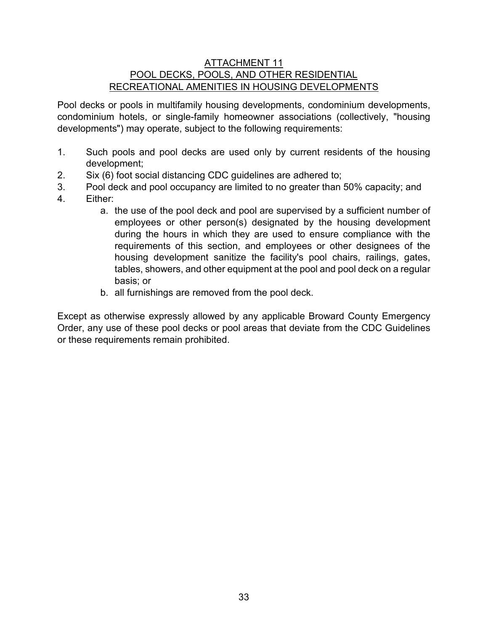#### ATTACHMENT 11 POOL DECKS, POOLS, AND OTHER RESIDENTIAL RECREATIONAL AMENITIES IN HOUSING DEVELOPMENTS

Pool decks or pools in multifamily housing developments, condominium developments, condominium hotels, or single-family homeowner associations (collectively, "housing developments") may operate, subject to the following requirements:

- 1. Such pools and pool decks are used only by current residents of the housing development;
- 2. Six (6) foot social distancing CDC guidelines are adhered to;
- 3. Pool deck and pool occupancy are limited to no greater than 50% capacity; and
- 4. Either:
	- a. the use of the pool deck and pool are supervised by a sufficient number of employees or other person(s) designated by the housing development during the hours in which they are used to ensure compliance with the requirements of this section, and employees or other designees of the housing development sanitize the facility's pool chairs, railings, gates, tables, showers, and other equipment at the pool and pool deck on a regular basis; or
	- b. all furnishings are removed from the pool deck.

Except as otherwise expressly allowed by any applicable Broward County Emergency Order, any use of these pool decks or pool areas that deviate from the CDC Guidelines or these requirements remain prohibited.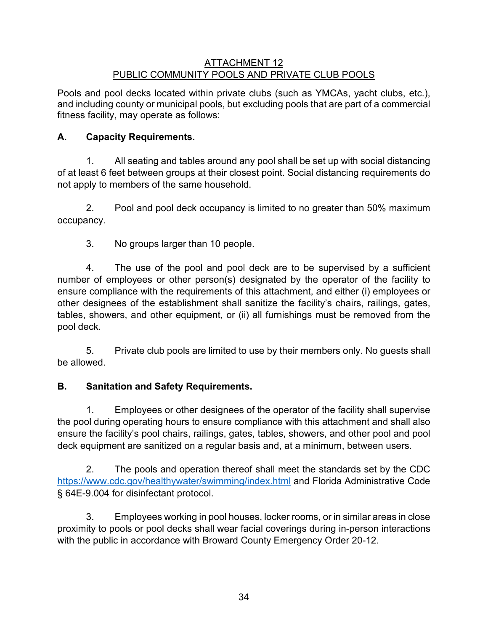### ATTACHMENT 12 PUBLIC COMMUNITY POOLS AND PRIVATE CLUB POOLS

Pools and pool decks located within private clubs (such as YMCAs, yacht clubs, etc.), and including county or municipal pools, but excluding pools that are part of a commercial fitness facility, may operate as follows:

# **A. Capacity Requirements.**

1. All seating and tables around any pool shall be set up with social distancing of at least 6 feet between groups at their closest point. Social distancing requirements do not apply to members of the same household.

2. Pool and pool deck occupancy is limited to no greater than 50% maximum occupancy.

3. No groups larger than 10 people.

4. The use of the pool and pool deck are to be supervised by a sufficient number of employees or other person(s) designated by the operator of the facility to ensure compliance with the requirements of this attachment, and either (i) employees or other designees of the establishment shall sanitize the facility's chairs, railings, gates, tables, showers, and other equipment, or (ii) all furnishings must be removed from the pool deck.

5. Private club pools are limited to use by their members only. No guests shall be allowed.

## **B. Sanitation and Safety Requirements.**

1. Employees or other designees of the operator of the facility shall supervise the pool during operating hours to ensure compliance with this attachment and shall also ensure the facility's pool chairs, railings, gates, tables, showers, and other pool and pool deck equipment are sanitized on a regular basis and, at a minimum, between users.

2. The pools and operation thereof shall meet the standards set by the CDC <https://www.cdc.gov/healthywater/swimming/index.html> and Florida Administrative Code § 64E-9.004 for disinfectant protocol.

3. Employees working in pool houses, locker rooms, or in similar areas in close proximity to pools or pool decks shall wear facial coverings during in-person interactions with the public in accordance with Broward County Emergency Order 20-12.